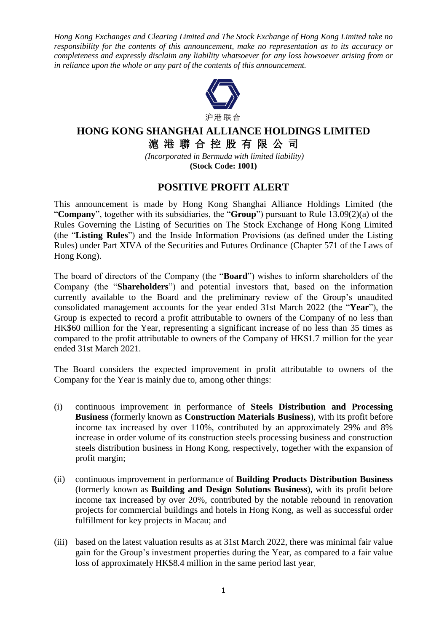*Hong Kong Exchanges and Clearing Limited and The Stock Exchange of Hong Kong Limited take no responsibility for the contents of this announcement, make no representation as to its accuracy or completeness and expressly disclaim any liability whatsoever for any loss howsoever arising from or in reliance upon the whole or any part of the contents of this announcement.*



## **HONG KONG SHANGHAI ALLIANCE HOLDINGS LIMITED** 滬 港 聯 合 控 股 有 限 公 司

*(Incorporated in Bermuda with limited liability)* **(Stock Code: 1001)**

## **POSITIVE PROFIT ALERT**

This announcement is made by Hong Kong Shanghai Alliance Holdings Limited (the "**Company**", together with its subsidiaries, the "**Group**") pursuant to Rule 13.09(2)(a) of the Rules Governing the Listing of Securities on The Stock Exchange of Hong Kong Limited (the "**Listing Rules**") and the Inside Information Provisions (as defined under the Listing Rules) under Part XIVA of the Securities and Futures Ordinance (Chapter 571 of the Laws of Hong Kong).

The board of directors of the Company (the "**Board**") wishes to inform shareholders of the Company (the "**Shareholders**") and potential investors that, based on the information currently available to the Board and the preliminary review of the Group's unaudited consolidated management accounts for the year ended 31st March 2022 (the "**Year**"), the Group is expected to record a profit attributable to owners of the Company of no less than HK\$60 million for the Year, representing a significant increase of no less than 35 times as compared to the profit attributable to owners of the Company of HK\$1.7 million for the year ended 31st March 2021.

The Board considers the expected improvement in profit attributable to owners of the Company for the Year is mainly due to, among other things:

- (i) continuous improvement in performance of **Steels Distribution and Processing Business** (formerly known as **Construction Materials Business**), with its profit before income tax increased by over 110%, contributed by an approximately 29% and 8% increase in order volume of its construction steels processing business and construction steels distribution business in Hong Kong, respectively, together with the expansion of profit margin;
- (ii) continuous improvement in performance of **Building Products Distribution Business** (formerly known as **Building and Design Solutions Business**), with its profit before income tax increased by over 20%, contributed by the notable rebound in renovation projects for commercial buildings and hotels in Hong Kong, as well as successful order fulfillment for key projects in Macau; and
- (iii) based on the latest valuation results as at 31st March 2022, there was minimal fair value gain for the Group's investment properties during the Year, as compared to a fair value loss of approximately HK\$8.4 million in the same period last year.